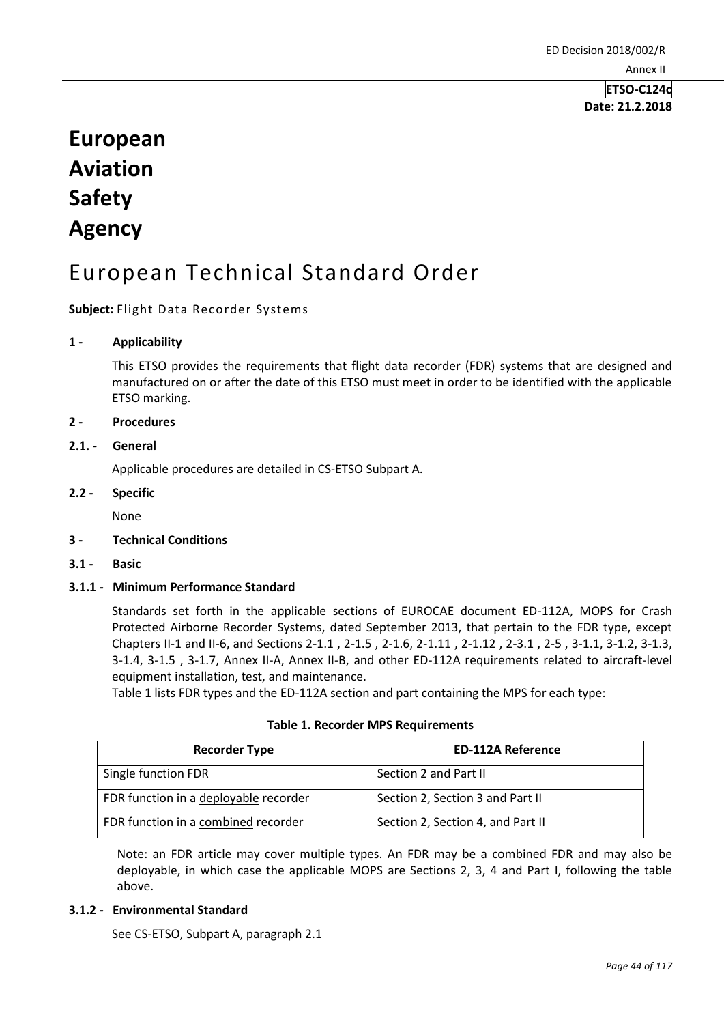**Date: 21.2.2018**

# **European Aviation Safety Agency**

# European Technical Standard Order

**Subject:** Flight Data Recorder Systems

#### **1 - Applicability**

This ETSO provides the requirements that flight data recorder (FDR) systems that are designed and manufactured on or after the date of this ETSO must meet in order to be identified with the applicable ETSO marking.

#### **2 - Procedures**

#### **2.1. - General**

Applicable procedures are detailed in CS-ETSO Subpart A.

#### **2.2 - Specific**

None

#### **3 - Technical Conditions**

**3.1 - Basic** 

#### **3.1.1 - Minimum Performance Standard**

Standards set forth in the applicable sections of EUROCAE document ED-112A, MOPS for Crash Protected Airborne Recorder Systems, dated September 2013, that pertain to the FDR type, except Chapters II-1 and II-6, and Sections 2-1.1 , 2-1.5 , 2-1.6, 2-1.11 , 2-1.12 , 2-3.1 , 2-5 , 3-1.1, 3-1.2, 3-1.3, 3-1.4, 3-1.5 , 3-1.7, Annex II-A, Annex II-B, and other ED-112A requirements related to aircraft-level equipment installation, test, and maintenance.

Table 1 lists FDR types and the ED-112A section and part containing the MPS for each type:

|  |  |  | <b>Table 1. Recorder MPS Requirements</b> |  |
|--|--|--|-------------------------------------------|--|
|--|--|--|-------------------------------------------|--|

| <b>Recorder Type</b>                  | <b>ED-112A Reference</b>          |  |
|---------------------------------------|-----------------------------------|--|
| Single function FDR                   | Section 2 and Part II             |  |
| FDR function in a deployable recorder | Section 2, Section 3 and Part II  |  |
| FDR function in a combined recorder   | Section 2, Section 4, and Part II |  |

Note: an FDR article may cover multiple types. An FDR may be a combined FDR and may also be deployable, in which case the applicable MOPS are Sections 2, 3, 4 and Part I, following the table above.

#### **3.1.2 - Environmental Standard**

See CS-ETSO, Subpart A, paragraph 2.1